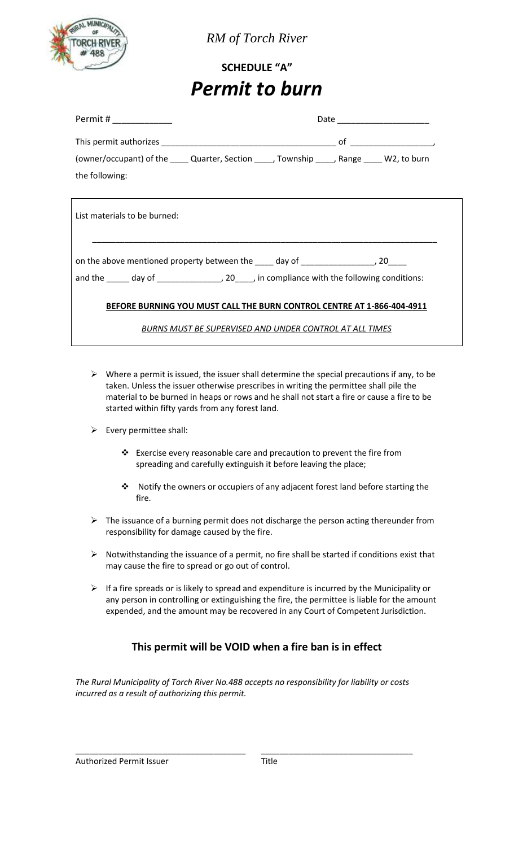

*RM of Torch River*

# **SCHEDULE "A"** *Permit to burn*

| Permit # _____________                                                                        | Date _________________________ |  |  |  |
|-----------------------------------------------------------------------------------------------|--------------------------------|--|--|--|
|                                                                                               |                                |  |  |  |
| (owner/occupant) of the _____ Quarter, Section _____, Township _____, Range _____ W2, to burn |                                |  |  |  |
| the following:                                                                                |                                |  |  |  |
|                                                                                               |                                |  |  |  |
| List materials to be burned:                                                                  |                                |  |  |  |
| on the above mentioned property between the ____ day of _______________________, 20_____      |                                |  |  |  |
| and the day of day of 20 compliance with the following conditions:                            |                                |  |  |  |
| BEFORE BURNING YOU MUST CALL THE BURN CONTROL CENTRE AT 1-866-404-4911                        |                                |  |  |  |
| BURNS MUST BE SUPERVISED AND UNDER CONTROL AT ALL TIMES                                       |                                |  |  |  |

- $\triangleright$  Where a permit is issued, the issuer shall determine the special precautions if any, to be taken. Unless the issuer otherwise prescribes in writing the permittee shall pile the material to be burned in heaps or rows and he shall not start a fire or cause a fire to be started within fifty yards from any forest land.
- $\triangleright$  Every permittee shall:
	- Exercise every reasonable care and precaution to prevent the fire from spreading and carefully extinguish it before leaving the place;
	- Notify the owners or occupiers of any adjacent forest land before starting the fire.
- $\triangleright$  The issuance of a burning permit does not discharge the person acting thereunder from responsibility for damage caused by the fire.
- $\triangleright$  Notwithstanding the issuance of a permit, no fire shall be started if conditions exist that may cause the fire to spread or go out of control.
- $\triangleright$  If a fire spreads or is likely to spread and expenditure is incurred by the Municipality or any person in controlling or extinguishing the fire, the permittee is liable for the amount expended, and the amount may be recovered in any Court of Competent Jurisdiction.

# **This permit will be VOID when a fire ban is in effect**

*The Rural Municipality of Torch River No.488 accepts no responsibility for liability or costs incurred as a result of authorizing this permit.*